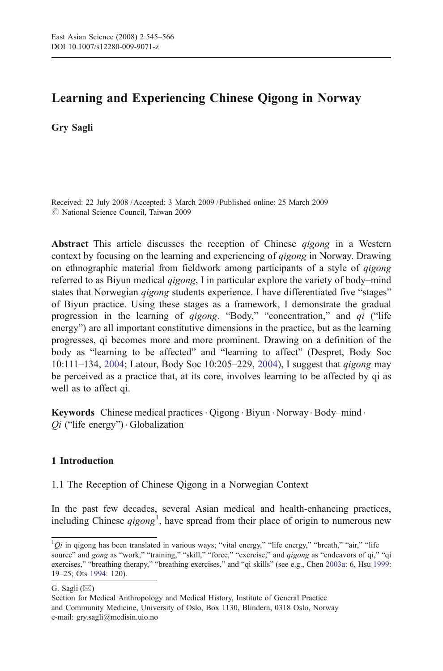# Learning and Experiencing Chinese Qigong in Norway

Gry Sagli

Received: 22 July 2008 / Accepted: 3 March 2009 / Published online: 25 March 2009  $\odot$  National Science Council, Taiwan 2009

Abstract This article discusses the reception of Chinese *gigong* in a Western context by focusing on the learning and experiencing of qigong in Norway. Drawing on ethnographic material from fieldwork among participants of a style of qigong referred to as Biyun medical *qigong*, I in particular explore the variety of body–mind states that Norwegian *gigong* students experience. I have differentiated five "stages" of Biyun practice. Using these stages as a framework, I demonstrate the gradual progression in the learning of qigong. "Body," "concentration," and qi ("life energy") are all important constitutive dimensions in the practice, but as the learning progresses, qi becomes more and more prominent. Drawing on a definition of the body as "learning to be affected" and "learning to affect" (Despret, Body Soc 10:111–134, [2004](#page-20-0); Latour, Body Soc 10:205–229, [2004\)](#page-20-0), I suggest that qigong may be perceived as a practice that, at its core, involves learning to be affected by qi as well as to affect qi.

Keywords Chinese medical practices  $\cdot$  Qigong  $\cdot$  Biyun  $\cdot$  Norway  $\cdot$  Body–mind  $\cdot$  $Qi$  ("life energy")  $\cdot$  Globalization

# 1 Introduction

1.1 The Reception of Chinese Qigong in a Norwegian Context

In the past few decades, several Asian medical and health-enhancing practices, including Chinese  $qigong<sup>1</sup>$ , have spread from their place of origin to numerous new

 ${}^{1}Qi$  in qigong has been translated in various ways; "vital energy," "life energy," "breath," "air," "life source" and gong as "work," "training," "skill," "force," "exercise;" and qigong as "endeavors of qi," "qi exercises," "breathing therapy," "breathing exercises," and "qi skills" (see e.g., Chen [2003a:](#page-19-0) 6, Hsu [1999](#page-20-0): 19–25; Ots [1994](#page-21-0): 120).

G. Sagli (*\**)

Section for Medical Anthropology and Medical History, Institute of General Practice and Community Medicine, University of Oslo, Box 1130, Blindern, 0318 Oslo, Norway e-mail: gry.sagli@medisin.uio.no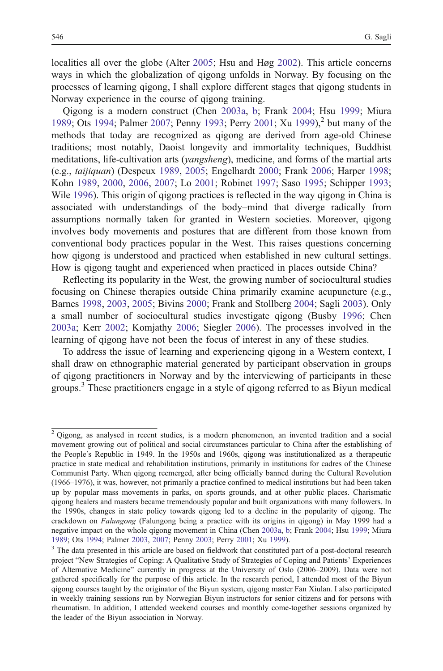localities all over the globe (Alter [2005;](#page-19-0) Hsu and Høg [2002](#page-20-0)). This article concerns ways in which the globalization of qigong unfolds in Norway. By focusing on the processes of learning qigong, I shall explore different stages that qigong students in Norway experience in the course of qigong training.

Qigong is a modern construct (Chen [2003a,](#page-19-0) [b;](#page-19-0) Frank [2004;](#page-20-0) Hsu [1999](#page-20-0); Miura [1989;](#page-21-0) Ots [1994](#page-21-0); Palmer [2007](#page-21-0); Penny [1993](#page-21-0); Perry [2001](#page-21-0); Xu [1999\)](#page-21-0),<sup>2</sup> but many of the methods that today are recognized as qigong are derived from age-old Chinese traditions; most notably, Daoist longevity and immortality techniques, Buddhist meditations, life-cultivation arts (*yangsheng*), medicine, and forms of the martial arts (e.g., taijiquan) (Despeux [1989](#page-20-0), [2005;](#page-20-0) Engelhardt [2000;](#page-20-0) Frank [2006;](#page-20-0) Harper [1998;](#page-20-0) Kohn [1989](#page-20-0), [2000,](#page-20-0) [2006,](#page-20-0) [2007](#page-20-0); Lo [2001](#page-20-0); Robinet [1997;](#page-21-0) Saso [1995](#page-21-0); Schipper [1993;](#page-21-0) Wile [1996](#page-21-0)). This origin of qigong practices is reflected in the way qigong in China is associated with understandings of the body–mind that diverge radically from assumptions normally taken for granted in Western societies. Moreover, qigong involves body movements and postures that are different from those known from conventional body practices popular in the West. This raises questions concerning how qigong is understood and practiced when established in new cultural settings. How is qigong taught and experienced when practiced in places outside China?

Reflecting its popularity in the West, the growing number of sociocultural studies focusing on Chinese therapies outside China primarily examine acupuncture (e.g., Barnes [1998](#page-19-0), [2003](#page-19-0), [2005](#page-19-0); Bivins [2000](#page-19-0); Frank and Stollberg [2004;](#page-20-0) Sagli [2003](#page-21-0)). Only a small number of sociocultural studies investigate qigong (Busby [1996](#page-19-0); Chen [2003a](#page-19-0); Kerr [2002](#page-20-0); Komjathy [2006](#page-20-0); Siegler [2006\)](#page-21-0). The processes involved in the learning of qigong have not been the focus of interest in any of these studies.

To address the issue of learning and experiencing qigong in a Western context, I shall draw on ethnographic material generated by participant observation in groups of qigong practitioners in Norway and by the interviewing of participants in these groups.<sup>3</sup> These practitioners engage in a style of qigong referred to as Biyun medical

<sup>&</sup>lt;sup>2</sup> Qigong, as analysed in recent studies, is a modern phenomenon, an invented tradition and a social movement growing out of political and social circumstances particular to China after the establishing of the People's Republic in 1949. In the 1950s and 1960s, qigong was institutionalized as a therapeutic practice in state medical and rehabilitation institutions, primarily in institutions for cadres of the Chinese Communist Party. When qigong reemerged, after being officially banned during the Cultural Revolution (1966–1976), it was, however, not primarily a practice confined to medical institutions but had been taken up by popular mass movements in parks, on sports grounds, and at other public places. Charismatic qigong healers and masters became tremendously popular and built organizations with many followers. In the 1990s, changes in state policy towards qigong led to a decline in the popularity of qigong. The crackdown on Falungong (Falungong being a practice with its origins in qigong) in May 1999 had a negative impact on the whole qigong movement in China (Chen [2003a](#page-19-0), [b;](#page-19-0) Frank [2004;](#page-20-0) Hsu [1999;](#page-20-0) Miura [1989;](#page-21-0) Ots [1994](#page-21-0); Palmer [2003,](#page-21-0) [2007](#page-21-0); Penny [2003](#page-21-0); Perry [2001;](#page-21-0) Xu [1999\)](#page-21-0).

<sup>&</sup>lt;sup>3</sup> The data presented in this article are based on fieldwork that constituted part of a post-doctoral research project "New Strategies of Coping: A Qualitative Study of Strategies of Coping and Patients' Experiences of Alternative Medicine" currently in progress at the University of Oslo (2006–2009). Data were not gathered specifically for the purpose of this article. In the research period, I attended most of the Biyun qigong courses taught by the originator of the Biyun system, qigong master Fan Xiulan. I also participated in weekly training sessions run by Norwegian Biyun instructors for senior citizens and for persons with rheumatism. In addition, I attended weekend courses and monthly come-together sessions organized by the leader of the Biyun association in Norway.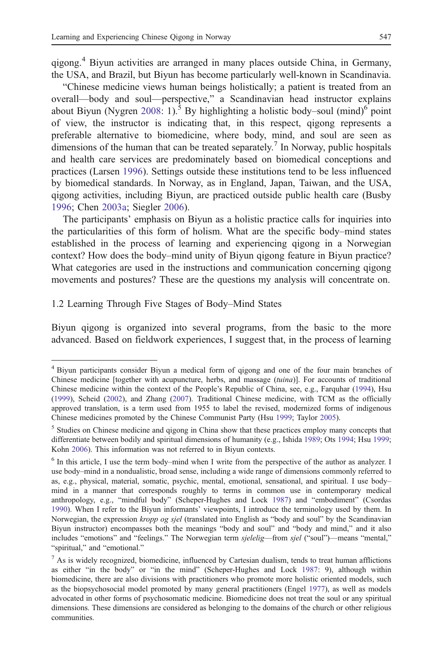qigong.<sup>4</sup> Biyun activities are arranged in many places outside China, in Germany, the USA, and Brazil, but Biyun has become particularly well-known in Scandinavia.

"Chinese medicine views human beings holistically; a patient is treated from an overall—body and soul—perspective," a Scandinavian head instructor explains about Biyun (Nygren [2008:](#page-21-0) 1).<sup>5</sup> By highlighting a holistic body–soul (mind)<sup>6</sup> point of view, the instructor is indicating that, in this respect, qigong represents a preferable alternative to biomedicine, where body, mind, and soul are seen as dimensions of the human that can be treated separately.<sup>7</sup> In Norway, public hospitals and health care services are predominately based on biomedical conceptions and practices (Larsen [1996\)](#page-20-0). Settings outside these institutions tend to be less influenced by biomedical standards. In Norway, as in England, Japan, Taiwan, and the USA, qigong activities, including Biyun, are practiced outside public health care (Busby [1996;](#page-19-0) Chen [2003a;](#page-19-0) Siegler [2006\)](#page-21-0).

The participants' emphasis on Biyun as a holistic practice calls for inquiries into the particularities of this form of holism. What are the specific body–mind states established in the process of learning and experiencing qigong in a Norwegian context? How does the body–mind unity of Biyun qigong feature in Biyun practice? What categories are used in the instructions and communication concerning qigong movements and postures? These are the questions my analysis will concentrate on.

## 1.2 Learning Through Five Stages of Body–Mind States

Biyun qigong is organized into several programs, from the basic to the more advanced. Based on fieldwork experiences, I suggest that, in the process of learning

<sup>4</sup> Biyun participants consider Biyun a medical form of qigong and one of the four main branches of Chinese medicine [together with acupuncture, herbs, and massage (tuina)]. For accounts of traditional Chinese medicine within the context of the People's Republic of China, see, e.g., Farquhar [\(1994](#page-20-0)), Hsu ([1999\)](#page-20-0), Scheid ([2002](#page-21-0)), and Zhang [\(2007](#page-21-0)). Traditional Chinese medicine, with TCM as the officially approved translation, is a term used from 1955 to label the revised, modernized forms of indigenous Chinese medicines promoted by the Chinese Communist Party (Hsu [1999;](#page-20-0) Taylor [2005\)](#page-21-0).

<sup>&</sup>lt;sup>5</sup> Studies on Chinese medicine and gigong in China show that these practices employ many concepts that differentiate between bodily and spiritual dimensions of humanity (e.g., Ishida [1989;](#page-20-0) Ots [1994](#page-21-0); Hsu [1999](#page-20-0); Kohn [2006](#page-20-0)). This information was not referred to in Biyun contexts.

<sup>6</sup> In this article, I use the term body–mind when I write from the perspective of the author as analyzer. I use body–mind in a nondualistic, broad sense, including a wide range of dimensions commonly referred to as, e.g., physical, material, somatic, psychic, mental, emotional, sensational, and spiritual. I use body– mind in a manner that corresponds roughly to terms in common use in contemporary medical anthropology, e.g., "mindful body" (Scheper-Hughes and Lock [1987](#page-21-0)) and "embodiment" (Csordas [1990\)](#page-19-0). When I refer to the Biyun informants' viewpoints, I introduce the terminology used by them. In Norwegian, the expression kropp og sjel (translated into English as "body and soul" by the Scandinavian Biyun instructor) encompasses both the meanings "body and soul" and "body and mind," and it also includes "emotions" and "feelings." The Norwegian term *sjelelig*—from sjel ("soul")—means "mental," "spiritual," and "emotional."

 $<sup>7</sup>$  As is widely recognized, biomedicine, influenced by Cartesian dualism, tends to treat human afflictions</sup> as either "in the body" or "in the mind" (Scheper-Hughes and Lock [1987](#page-21-0): 9), although within biomedicine, there are also divisions with practitioners who promote more holistic oriented models, such as the biopsychosocial model promoted by many general practitioners (Engel [1977](#page-20-0)), as well as models advocated in other forms of psychosomatic medicine. Biomedicine does not treat the soul or any spiritual dimensions. These dimensions are considered as belonging to the domains of the church or other religious communities.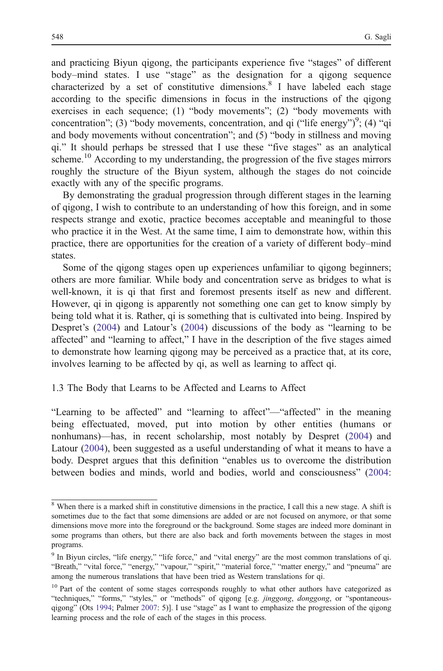and practicing Biyun qigong, the participants experience five "stages" of different body–mind states. I use "stage" as the designation for a qigong sequence characterized by a set of constitutive dimensions.<sup>8</sup> I have labeled each stage according to the specific dimensions in focus in the instructions of the qigong exercises in each sequence; (1) "body movements"; (2) "body movements with concentration"; (3) "body movements, concentration, and qi ("life energy")<sup>9</sup>; (4) "qi and body movements without concentration"; and (5) "body in stillness and moving qi." It should perhaps be stressed that I use these "five stages" as an analytical scheme.<sup>10</sup> According to my understanding, the progression of the five stages mirrors roughly the structure of the Biyun system, although the stages do not coincide exactly with any of the specific programs.

By demonstrating the gradual progression through different stages in the learning of qigong, I wish to contribute to an understanding of how this foreign, and in some respects strange and exotic, practice becomes acceptable and meaningful to those who practice it in the West. At the same time, I aim to demonstrate how, within this practice, there are opportunities for the creation of a variety of different body–mind states.

Some of the qigong stages open up experiences unfamiliar to qigong beginners; others are more familiar. While body and concentration serve as bridges to what is well-known, it is qi that first and foremost presents itself as new and different. However, qi in qigong is apparently not something one can get to know simply by being told what it is. Rather, qi is something that is cultivated into being. Inspired by Despret's ([2004\)](#page-20-0) and Latour's ([2004\)](#page-20-0) discussions of the body as "learning to be affected" and "learning to affect," I have in the description of the five stages aimed to demonstrate how learning qigong may be perceived as a practice that, at its core, involves learning to be affected by qi, as well as learning to affect qi.

#### 1.3 The Body that Learns to be Affected and Learns to Affect

"Learning to be affected" and "learning to affect"—"affected" in the meaning being effectuated, moved, put into motion by other entities (humans or nonhumans)—has, in recent scholarship, most notably by Despret ([2004\)](#page-20-0) and Latour ([2004\)](#page-20-0), been suggested as a useful understanding of what it means to have a body. Despret argues that this definition "enables us to overcome the distribution between bodies and minds, world and bodies, world and consciousness" ([2004:](#page-20-0)

<sup>&</sup>lt;sup>8</sup> When there is a marked shift in constitutive dimensions in the practice, I call this a new stage. A shift is sometimes due to the fact that some dimensions are added or are not focused on anymore, or that some dimensions move more into the foreground or the background. Some stages are indeed more dominant in some programs than others, but there are also back and forth movements between the stages in most programs.

<sup>9</sup> In Biyun circles, "life energy," "life force," and "vital energy" are the most common translations of qi. "Breath," "vital force," "energy," "vapour," "spirit," "material force," "matter energy," and "pneuma" are among the numerous translations that have been tried as Western translations for qi.

<sup>&</sup>lt;sup>10</sup> Part of the content of some stages corresponds roughly to what other authors have categorized as "techniques," "forms," "styles," or "methods" of qigong [e.g. *jinggong, donggong*, or "spontaneousqigong" (Ots [1994;](#page-21-0) Palmer [2007](#page-21-0): 5)]. I use "stage" as I want to emphasize the progression of the qigong learning process and the role of each of the stages in this process.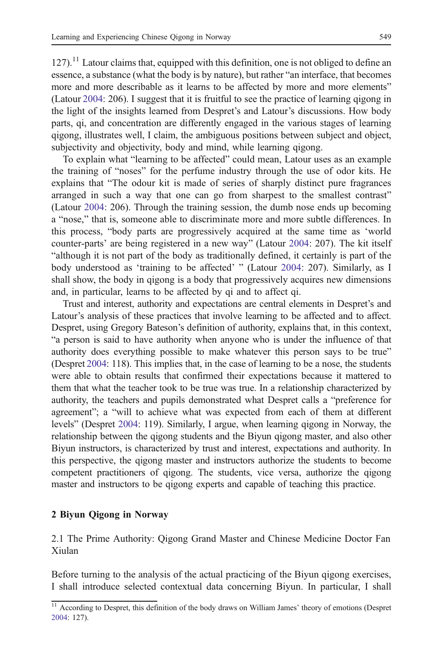$127$ ).<sup>11</sup> Latour claims that, equipped with this definition, one is not obliged to define an essence, a substance (what the body is by nature), but rather "an interface, that becomes more and more describable as it learns to be affected by more and more elements" (Latour [2004:](#page-20-0) 206). I suggest that it is fruitful to see the practice of learning qigong in the light of the insights learned from Despret's and Latour's discussions. How body parts, qi, and concentration are differently engaged in the various stages of learning qigong, illustrates well, I claim, the ambiguous positions between subject and object, subjectivity and objectivity, body and mind, while learning qigong.

To explain what "learning to be affected" could mean, Latour uses as an example the training of "noses" for the perfume industry through the use of odor kits. He explains that "The odour kit is made of series of sharply distinct pure fragrances arranged in such a way that one can go from sharpest to the smallest contrast" (Latour [2004:](#page-20-0) 206). Through the training session, the dumb nose ends up becoming a "nose," that is, someone able to discriminate more and more subtle differences. In this process, "body parts are progressively acquired at the same time as 'world counter-parts' are being registered in a new way" (Latour [2004:](#page-20-0) 207). The kit itself "although it is not part of the body as traditionally defined, it certainly is part of the body understood as 'training to be affected' " (Latour [2004](#page-20-0): 207). Similarly, as I shall show, the body in qigong is a body that progressively acquires new dimensions and, in particular, learns to be affected by qi and to affect qi.

Trust and interest, authority and expectations are central elements in Despret's and Latour's analysis of these practices that involve learning to be affected and to affect. Despret, using Gregory Bateson's definition of authority, explains that, in this context, "a person is said to have authority when anyone who is under the influence of that authority does everything possible to make whatever this person says to be true" (Despret [2004:](#page-20-0) 118). This implies that, in the case of learning to be a nose, the students were able to obtain results that confirmed their expectations because it mattered to them that what the teacher took to be true was true. In a relationship characterized by authority, the teachers and pupils demonstrated what Despret calls a "preference for agreement"; a "will to achieve what was expected from each of them at different levels" (Despret [2004:](#page-20-0) 119). Similarly, I argue, when learning qigong in Norway, the relationship between the qigong students and the Biyun qigong master, and also other Biyun instructors, is characterized by trust and interest, expectations and authority. In this perspective, the qigong master and instructors authorize the students to become competent practitioners of qigong. The students, vice versa, authorize the qigong master and instructors to be qigong experts and capable of teaching this practice.

## 2 Biyun Qigong in Norway

2.1 The Prime Authority: Qigong Grand Master and Chinese Medicine Doctor Fan Xiulan

Before turning to the analysis of the actual practicing of the Biyun qigong exercises, I shall introduce selected contextual data concerning Biyun. In particular, I shall

<sup>&</sup>lt;sup>11</sup> According to Despret, this definition of the body draws on William James' theory of emotions (Despret [2004:](#page-20-0) 127).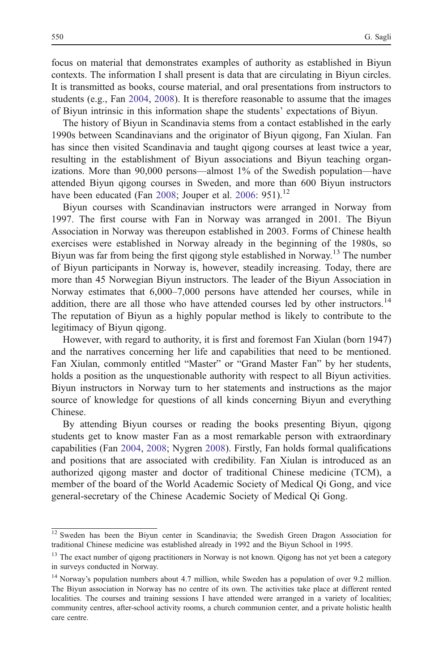focus on material that demonstrates examples of authority as established in Biyun contexts. The information I shall present is data that are circulating in Biyun circles. It is transmitted as books, course material, and oral presentations from instructors to students (e.g., Fan [2004,](#page-20-0) [2008](#page-20-0)). It is therefore reasonable to assume that the images of Biyun intrinsic in this information shape the students' expectations of Biyun.

The history of Biyun in Scandinavia stems from a contact established in the early 1990s between Scandinavians and the originator of Biyun qigong, Fan Xiulan. Fan has since then visited Scandinavia and taught qigong courses at least twice a year, resulting in the establishment of Biyun associations and Biyun teaching organizations. More than 90,000 persons—almost 1% of the Swedish population—have attended Biyun qigong courses in Sweden, and more than 600 Biyun instructors have been educated (Fan [2008;](#page-20-0) Jouper et al. [2006:](#page-20-0) 951).<sup>12</sup>

Biyun courses with Scandinavian instructors were arranged in Norway from 1997. The first course with Fan in Norway was arranged in 2001. The Biyun Association in Norway was thereupon established in 2003. Forms of Chinese health exercises were established in Norway already in the beginning of the 1980s, so Biyun was far from being the first qigong style established in Norway.<sup>13</sup> The number of Biyun participants in Norway is, however, steadily increasing. Today, there are more than 45 Norwegian Biyun instructors. The leader of the Biyun Association in Norway estimates that 6,000–7,000 persons have attended her courses, while in addition, there are all those who have attended courses led by other instructors.<sup>14</sup> The reputation of Biyun as a highly popular method is likely to contribute to the legitimacy of Biyun qigong.

However, with regard to authority, it is first and foremost Fan Xiulan (born 1947) and the narratives concerning her life and capabilities that need to be mentioned. Fan Xiulan, commonly entitled "Master" or "Grand Master Fan" by her students, holds a position as the unquestionable authority with respect to all Biyun activities. Biyun instructors in Norway turn to her statements and instructions as the major source of knowledge for questions of all kinds concerning Biyun and everything Chinese.

By attending Biyun courses or reading the books presenting Biyun, qigong students get to know master Fan as a most remarkable person with extraordinary capabilities (Fan [2004,](#page-20-0) [2008](#page-20-0); Nygren [2008\)](#page-21-0). Firstly, Fan holds formal qualifications and positions that are associated with credibility. Fan Xiulan is introduced as an authorized qigong master and doctor of traditional Chinese medicine (TCM), a member of the board of the World Academic Society of Medical Qi Gong, and vice general-secretary of the Chinese Academic Society of Medical Qi Gong.

<sup>&</sup>lt;sup>12</sup> Sweden has been the Biyun center in Scandinavia; the Swedish Green Dragon Association for traditional Chinese medicine was established already in 1992 and the Biyun School in 1995.

<sup>&</sup>lt;sup>13</sup> The exact number of qigong practitioners in Norway is not known. Qigong has not yet been a category in surveys conducted in Norway.

<sup>&</sup>lt;sup>14</sup> Norway's population numbers about 4.7 million, while Sweden has a population of over 9.2 million. The Biyun association in Norway has no centre of its own. The activities take place at different rented localities. The courses and training sessions I have attended were arranged in a variety of localities; community centres, after-school activity rooms, a church communion center, and a private holistic health care centre.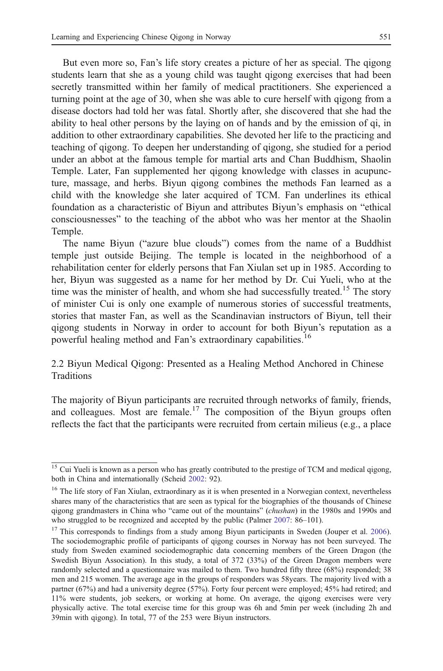But even more so, Fan's life story creates a picture of her as special. The qigong students learn that she as a young child was taught qigong exercises that had been secretly transmitted within her family of medical practitioners. She experienced a turning point at the age of 30, when she was able to cure herself with qigong from a disease doctors had told her was fatal. Shortly after, she discovered that she had the ability to heal other persons by the laying on of hands and by the emission of qi, in addition to other extraordinary capabilities. She devoted her life to the practicing and teaching of qigong. To deepen her understanding of qigong, she studied for a period under an abbot at the famous temple for martial arts and Chan Buddhism, Shaolin Temple. Later, Fan supplemented her qigong knowledge with classes in acupuncture, massage, and herbs. Biyun qigong combines the methods Fan learned as a child with the knowledge she later acquired of TCM. Fan underlines its ethical foundation as a characteristic of Biyun and attributes Biyun's emphasis on "ethical consciousnesses" to the teaching of the abbot who was her mentor at the Shaolin Temple.

The name Biyun ("azure blue clouds") comes from the name of a Buddhist temple just outside Beijing. The temple is located in the neighborhood of a rehabilitation center for elderly persons that Fan Xiulan set up in 1985. According to her, Biyun was suggested as a name for her method by Dr. Cui Yueli, who at the time was the minister of health, and whom she had successfully treated.<sup>15</sup> The story of minister Cui is only one example of numerous stories of successful treatments, stories that master Fan, as well as the Scandinavian instructors of Biyun, tell their qigong students in Norway in order to account for both Biyun's reputation as a powerful healing method and Fan's extraordinary capabilities.<sup>16</sup>

2.2 Biyun Medical Qigong: Presented as a Healing Method Anchored in Chinese Traditions

The majority of Biyun participants are recruited through networks of family, friends, and colleagues. Most are female.<sup>17</sup> The composition of the Biyun groups often reflects the fact that the participants were recruited from certain milieus (e.g., a place

<sup>&</sup>lt;sup>15</sup> Cui Yueli is known as a person who has greatly contributed to the prestige of TCM and medical qigong, both in China and internationally (Scheid [2002:](#page-21-0) 92).

<sup>&</sup>lt;sup>16</sup> The life story of Fan Xiulan, extraordinary as it is when presented in a Norwegian context, nevertheless shares many of the characteristics that are seen as typical for the biographies of the thousands of Chinese qigong grandmasters in China who "came out of the mountains" (chushan) in the 1980s and 1990s and who struggled to be recognized and accepted by the public (Palmer [2007:](#page-21-0) 86–101).

<sup>&</sup>lt;sup>17</sup> This corresponds to findings from a study among Biyun participants in Sweden (Jouper et al. [2006\)](#page-20-0). The sociodemographic profile of participants of qigong courses in Norway has not been surveyed. The study from Sweden examined sociodemographic data concerning members of the Green Dragon (the Swedish Biyun Association). In this study, a total of 372 (33%) of the Green Dragon members were randomly selected and a questionnaire was mailed to them. Two hundred fifty three (68%) responded; 38 men and 215 women. The average age in the groups of responders was 58years. The majority lived with a partner (67%) and had a university degree (57%). Forty four percent were employed; 45% had retired; and 11% were students, job seekers, or working at home. On average, the qigong exercises were very physically active. The total exercise time for this group was 6h and 5min per week (including 2h and 39min with qigong). In total, 77 of the 253 were Biyun instructors.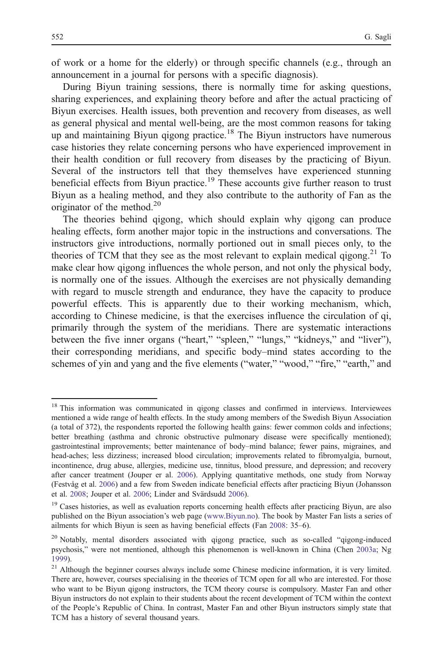of work or a home for the elderly) or through specific channels (e.g., through an announcement in a journal for persons with a specific diagnosis).

During Biyun training sessions, there is normally time for asking questions, sharing experiences, and explaining theory before and after the actual practicing of Biyun exercises. Health issues, both prevention and recovery from diseases, as well as general physical and mental well-being, are the most common reasons for taking up and maintaining Biyun qigong practice.<sup>18</sup> The Biyun instructors have numerous case histories they relate concerning persons who have experienced improvement in their health condition or full recovery from diseases by the practicing of Biyun. Several of the instructors tell that they themselves have experienced stunning beneficial effects from Biyun practice.<sup>19</sup> These accounts give further reason to trust Biyun as a healing method, and they also contribute to the authority of Fan as the originator of the method. $20$ 

The theories behind qigong, which should explain why qigong can produce healing effects, form another major topic in the instructions and conversations. The instructors give introductions, normally portioned out in small pieces only, to the theories of TCM that they see as the most relevant to explain medical qigong.<sup>21</sup> To make clear how qigong influences the whole person, and not only the physical body, is normally one of the issues. Although the exercises are not physically demanding with regard to muscle strength and endurance, they have the capacity to produce powerful effects. This is apparently due to their working mechanism, which, according to Chinese medicine, is that the exercises influence the circulation of qi, primarily through the system of the meridians. There are systematic interactions between the five inner organs ("heart," "spleen," "lungs," "kidneys," and "liver"), their corresponding meridians, and specific body–mind states according to the schemes of yin and yang and the five elements ("water," "wood," "fire," "earth," and

<sup>&</sup>lt;sup>18</sup> This information was communicated in qigong classes and confirmed in interviews. Interviewees mentioned a wide range of health effects. In the study among members of the Swedish Biyun Association (a total of 372), the respondents reported the following health gains: fewer common colds and infections; better breathing (asthma and chronic obstructive pulmonary disease were specifically mentioned); gastrointestinal improvements; better maintenance of body–mind balance; fewer pains, migraines, and head-aches; less dizziness; increased blood circulation; improvements related to fibromyalgia, burnout, incontinence, drug abuse, allergies, medicine use, tinnitus, blood pressure, and depression; and recovery after cancer treatment (Jouper er al. [2006\)](#page-20-0). Applying quantitative methods, one study from Norway (Festvåg et al. [2006](#page-20-0)) and a few from Sweden indicate beneficial effects after practicing Biyun (Johansson et al. [2008](#page-20-0); Jouper et al. [2006](#page-20-0); Linder and Svärdsudd [2006\)](#page-20-0).

<sup>&</sup>lt;sup>19</sup> Cases histories, as well as evaluation reports concerning health effects after practicing Biyun, are also published on the Biyun association's web page [\(www.Biyun.no](www.Biyun.no)). The book by Master Fan lists a series of ailments for which Biyun is seen as having beneficial effects (Fan [2008](#page-20-0): 35–6).

<sup>&</sup>lt;sup>20</sup> Notably, mental disorders associated with qigong practice, such as so-called "qigong-induced psychosis," were not mentioned, although this phenomenon is well-known in China (Chen [2003a](#page-19-0); Ng [1999\)](#page-21-0).

<sup>&</sup>lt;sup>21</sup> Although the beginner courses always include some Chinese medicine information, it is very limited. There are, however, courses specialising in the theories of TCM open for all who are interested. For those who want to be Biyun qigong instructors, the TCM theory course is compulsory. Master Fan and other Biyun instructors do not explain to their students about the recent development of TCM within the context of the People's Republic of China. In contrast, Master Fan and other Biyun instructors simply state that TCM has a history of several thousand years.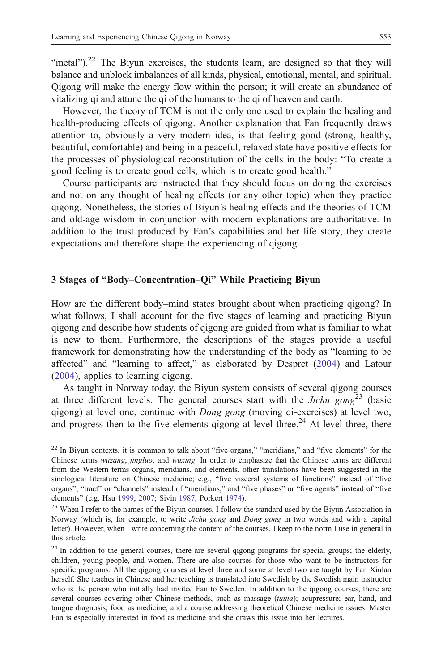"metal"). $22$  The Biyun exercises, the students learn, are designed so that they will balance and unblock imbalances of all kinds, physical, emotional, mental, and spiritual. Qigong will make the energy flow within the person; it will create an abundance of vitalizing qi and attune the qi of the humans to the qi of heaven and earth.

However, the theory of TCM is not the only one used to explain the healing and health-producing effects of qigong. Another explanation that Fan frequently draws attention to, obviously a very modern idea, is that feeling good (strong, healthy, beautiful, comfortable) and being in a peaceful, relaxed state have positive effects for the processes of physiological reconstitution of the cells in the body: "To create a good feeling is to create good cells, which is to create good health."

Course participants are instructed that they should focus on doing the exercises and not on any thought of healing effects (or any other topic) when they practice qigong. Nonetheless, the stories of Biyun's healing effects and the theories of TCM and old-age wisdom in conjunction with modern explanations are authoritative. In addition to the trust produced by Fan's capabilities and her life story, they create expectations and therefore shape the experiencing of qigong.

# 3 Stages of "Body–Concentration–Qi" While Practicing Biyun

How are the different body–mind states brought about when practicing qigong? In what follows, I shall account for the five stages of learning and practicing Biyun qigong and describe how students of qigong are guided from what is familiar to what is new to them. Furthermore, the descriptions of the stages provide a useful framework for demonstrating how the understanding of the body as "learning to be affected" and "learning to affect," as elaborated by Despret [\(2004](#page-20-0)) and Latour [\(2004](#page-20-0)), applies to learning qigong.

As taught in Norway today, the Biyun system consists of several qigong courses at three different levels. The general courses start with the *Jichu gong*<sup>23</sup> (basic qigong) at level one, continue with Dong gong (moving qi-exercises) at level two, and progress then to the five elements gigong at level three.<sup>24</sup> At level three, there

<sup>&</sup>lt;sup>22</sup> In Biyun contexts, it is common to talk about "five organs," "meridians," and "five elements" for the Chinese terms wuzang, jingluo, and wuxing. In order to emphasize that the Chinese terms are different from the Western terms organs, meridians, and elements, other translations have been suggested in the sinological literature on Chinese medicine; e.g., "five visceral systems of functions" instead of "five organs"; "tract" or "channels" instead of "meridians," and "five phases" or "five agents" instead of "five elements" (e.g. Hsu [1999,](#page-20-0) [2007](#page-20-0); Sivin [1987](#page-21-0); Porkert [1974\)](#page-21-0).

<sup>&</sup>lt;sup>23</sup> When I refer to the names of the Biyun courses, I follow the standard used by the Biyun Association in Norway (which is, for example, to write Jichu gong and Dong gong in two words and with a capital letter). However, when I write concerning the content of the courses, I keep to the norm I use in general in this article.

<sup>&</sup>lt;sup>24</sup> In addition to the general courses, there are several qigong programs for special groups; the elderly, children, young people, and women. There are also courses for those who want to be instructors for specific programs. All the qigong courses at level three and some at level two are taught by Fan Xiulan herself. She teaches in Chinese and her teaching is translated into Swedish by the Swedish main instructor who is the person who initially had invited Fan to Sweden. In addition to the qigong courses, there are several courses covering other Chinese methods, such as massage *(tuina)*; acupressure; ear, hand, and tongue diagnosis; food as medicine; and a course addressing theoretical Chinese medicine issues. Master Fan is especially interested in food as medicine and she draws this issue into her lectures.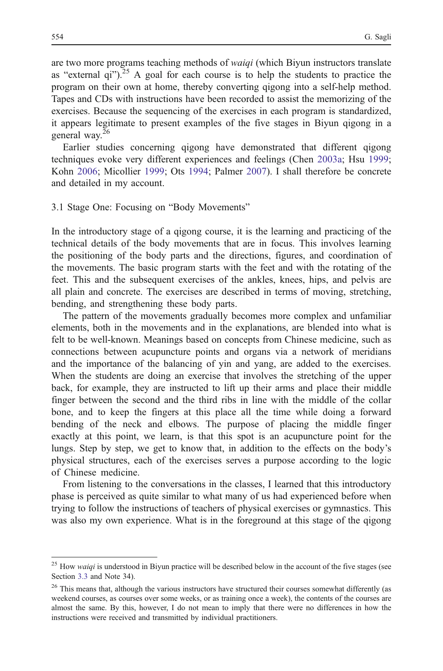are two more programs teaching methods of *waiqi* (which Biyun instructors translate as "external qi"). $25$  A goal for each course is to help the students to practice the program on their own at home, thereby converting qigong into a self-help method. Tapes and CDs with instructions have been recorded to assist the memorizing of the exercises. Because the sequencing of the exercises in each program is standardized, it appears legitimate to present examples of the five stages in Biyun qigong in a general way.<sup>26</sup>

Earlier studies concerning qigong have demonstrated that different qigong techniques evoke very different experiences and feelings (Chen [2003a](#page-19-0); Hsu [1999;](#page-20-0) Kohn [2006;](#page-20-0) Micollier [1999](#page-21-0); Ots [1994;](#page-21-0) Palmer [2007\)](#page-21-0). I shall therefore be concrete and detailed in my account.

#### 3.1 Stage One: Focusing on "Body Movements"

In the introductory stage of a qigong course, it is the learning and practicing of the technical details of the body movements that are in focus. This involves learning the positioning of the body parts and the directions, figures, and coordination of the movements. The basic program starts with the feet and with the rotating of the feet. This and the subsequent exercises of the ankles, knees, hips, and pelvis are all plain and concrete. The exercises are described in terms of moving, stretching, bending, and strengthening these body parts.

The pattern of the movements gradually becomes more complex and unfamiliar elements, both in the movements and in the explanations, are blended into what is felt to be well-known. Meanings based on concepts from Chinese medicine, such as connections between acupuncture points and organs via a network of meridians and the importance of the balancing of yin and yang, are added to the exercises. When the students are doing an exercise that involves the stretching of the upper back, for example, they are instructed to lift up their arms and place their middle finger between the second and the third ribs in line with the middle of the collar bone, and to keep the fingers at this place all the time while doing a forward bending of the neck and elbows. The purpose of placing the middle finger exactly at this point, we learn, is that this spot is an acupuncture point for the lungs. Step by step, we get to know that, in addition to the effects on the body's physical structures, each of the exercises serves a purpose according to the logic of Chinese medicine.

From listening to the conversations in the classes, I learned that this introductory phase is perceived as quite similar to what many of us had experienced before when trying to follow the instructions of teachers of physical exercises or gymnastics. This was also my own experience. What is in the foreground at this stage of the qigong

<sup>&</sup>lt;sup>25</sup> How *waiqi* is understood in Biyun practice will be described below in the account of the five stages (see Section [3.3](#page-11-0) and Note 34).

<sup>&</sup>lt;sup>26</sup> This means that, although the various instructors have structured their courses somewhat differently (as weekend courses, as courses over some weeks, or as training once a week), the contents of the courses are almost the same. By this, however, I do not mean to imply that there were no differences in how the instructions were received and transmitted by individual practitioners.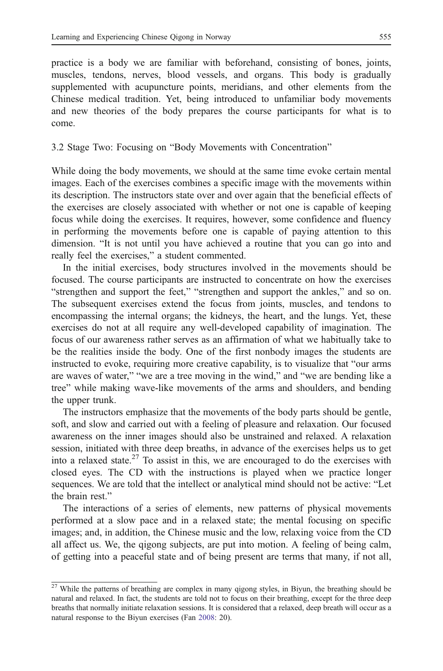practice is a body we are familiar with beforehand, consisting of bones, joints, muscles, tendons, nerves, blood vessels, and organs. This body is gradually supplemented with acupuncture points, meridians, and other elements from the Chinese medical tradition. Yet, being introduced to unfamiliar body movements and new theories of the body prepares the course participants for what is to come.

## 3.2 Stage Two: Focusing on "Body Movements with Concentration"

While doing the body movements, we should at the same time evoke certain mental images. Each of the exercises combines a specific image with the movements within its description. The instructors state over and over again that the beneficial effects of the exercises are closely associated with whether or not one is capable of keeping focus while doing the exercises. It requires, however, some confidence and fluency in performing the movements before one is capable of paying attention to this dimension. "It is not until you have achieved a routine that you can go into and really feel the exercises," a student commented.

In the initial exercises, body structures involved in the movements should be focused. The course participants are instructed to concentrate on how the exercises "strengthen and support the feet," "strengthen and support the ankles," and so on. The subsequent exercises extend the focus from joints, muscles, and tendons to encompassing the internal organs; the kidneys, the heart, and the lungs. Yet, these exercises do not at all require any well-developed capability of imagination. The focus of our awareness rather serves as an affirmation of what we habitually take to be the realities inside the body. One of the first nonbody images the students are instructed to evoke, requiring more creative capability, is to visualize that "our arms are waves of water," "we are a tree moving in the wind," and "we are bending like a tree" while making wave-like movements of the arms and shoulders, and bending the upper trunk.

The instructors emphasize that the movements of the body parts should be gentle, soft, and slow and carried out with a feeling of pleasure and relaxation. Our focused awareness on the inner images should also be unstrained and relaxed. A relaxation session, initiated with three deep breaths, in advance of the exercises helps us to get into a relaxed state.<sup>27</sup> To assist in this, we are encouraged to do the exercises with closed eyes. The CD with the instructions is played when we practice longer sequences. We are told that the intellect or analytical mind should not be active: "Let the brain rest."

The interactions of a series of elements, new patterns of physical movements performed at a slow pace and in a relaxed state; the mental focusing on specific images; and, in addition, the Chinese music and the low, relaxing voice from the CD all affect us. We, the qigong subjects, are put into motion. A feeling of being calm, of getting into a peaceful state and of being present are terms that many, if not all,

<sup>&</sup>lt;sup>27</sup> While the patterns of breathing are complex in many qigong styles, in Biyun, the breathing should be natural and relaxed. In fact, the students are told not to focus on their breathing, except for the three deep breaths that normally initiate relaxation sessions. It is considered that a relaxed, deep breath will occur as a natural response to the Biyun exercises (Fan [2008:](#page-20-0) 20).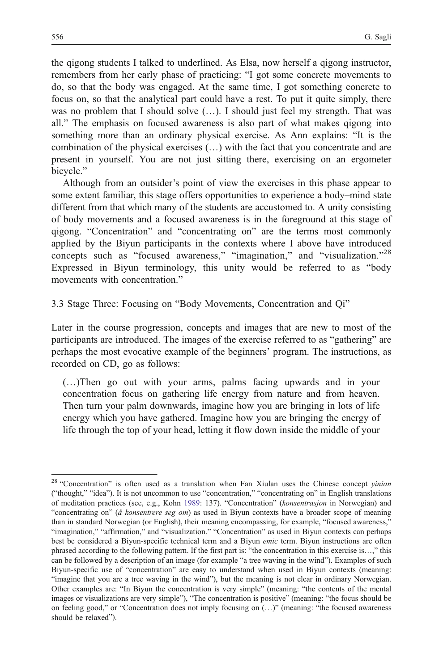<span id="page-11-0"></span>the qigong students I talked to underlined. As Elsa, now herself a qigong instructor, remembers from her early phase of practicing: "I got some concrete movements to do, so that the body was engaged. At the same time, I got something concrete to focus on, so that the analytical part could have a rest. To put it quite simply, there was no problem that I should solve (…). I should just feel my strength. That was all." The emphasis on focused awareness is also part of what makes qigong into something more than an ordinary physical exercise. As Ann explains: "It is the combination of the physical exercises (…) with the fact that you concentrate and are present in yourself. You are not just sitting there, exercising on an ergometer bicycle."

Although from an outsider's point of view the exercises in this phase appear to some extent familiar, this stage offers opportunities to experience a body–mind state different from that which many of the students are accustomed to. A unity consisting of body movements and a focused awareness is in the foreground at this stage of qigong. "Concentration" and "concentrating on" are the terms most commonly applied by the Biyun participants in the contexts where I above have introduced concepts such as "focused awareness," "imagination," and "visualization."<sup>28</sup> Expressed in Biyun terminology, this unity would be referred to as "body movements with concentration."

3.3 Stage Three: Focusing on "Body Movements, Concentration and Qi"

Later in the course progression, concepts and images that are new to most of the participants are introduced. The images of the exercise referred to as "gathering" are perhaps the most evocative example of the beginners' program. The instructions, as recorded on CD, go as follows:

(…)Then go out with your arms, palms facing upwards and in your concentration focus on gathering life energy from nature and from heaven. Then turn your palm downwards, imagine how you are bringing in lots of life energy which you have gathered. Imagine how you are bringing the energy of life through the top of your head, letting it flow down inside the middle of your

<sup>&</sup>lt;sup>28</sup> "Concentration" is often used as a translation when Fan Xiulan uses the Chinese concept yinian ("thought," "idea"). It is not uncommon to use "concentration," "concentrating on" in English translations of meditation practices (see, e.g., Kohn [1989](#page-20-0): 137). "Concentration" (konsentrasjon in Norwegian) and "concentrating on" (å konsentrere seg om) as used in Biyun contexts have a broader scope of meaning than in standard Norwegian (or English), their meaning encompassing, for example, "focused awareness," "imagination," "affirmation," and "visualization." "Concentration" as used in Biyun contexts can perhaps best be considered a Biyun-specific technical term and a Biyun *emic* term. Biyun instructions are often phrased according to the following pattern. If the first part is: "the concentration in this exercise is…," this can be followed by a description of an image (for example "a tree waving in the wind"). Examples of such Biyun-specific use of "concentration" are easy to understand when used in Biyun contexts (meaning: "imagine that you are a tree waving in the wind"), but the meaning is not clear in ordinary Norwegian. Other examples are: "In Biyun the concentration is very simple" (meaning: "the contents of the mental images or visualizations are very simple"), "The concentration is positive" (meaning: "the focus should be on feeling good," or "Concentration does not imply focusing on (…)" (meaning: "the focused awareness should be relaxed").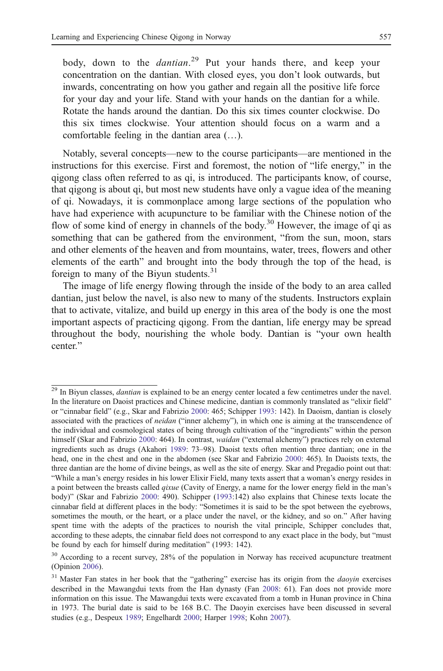body, down to the *dantian*.<sup>29</sup> Put your hands there, and keep your concentration on the dantian. With closed eyes, you don't look outwards, but inwards, concentrating on how you gather and regain all the positive life force for your day and your life. Stand with your hands on the dantian for a while. Rotate the hands around the dantian. Do this six times counter clockwise. Do this six times clockwise. Your attention should focus on a warm and a comfortable feeling in the dantian area (…).

Notably, several concepts—new to the course participants—are mentioned in the instructions for this exercise. First and foremost, the notion of "life energy," in the qigong class often referred to as qi, is introduced. The participants know, of course, that qigong is about qi, but most new students have only a vague idea of the meaning of qi. Nowadays, it is commonplace among large sections of the population who have had experience with acupuncture to be familiar with the Chinese notion of the flow of some kind of energy in channels of the body.<sup>30</sup> However, the image of qi as something that can be gathered from the environment, "from the sun, moon, stars and other elements of the heaven and from mountains, water, trees, flowers and other elements of the earth" and brought into the body through the top of the head, is foreign to many of the Biyun students. $31$ 

The image of life energy flowing through the inside of the body to an area called dantian, just below the navel, is also new to many of the students. Instructors explain that to activate, vitalize, and build up energy in this area of the body is one the most important aspects of practicing qigong. From the dantian, life energy may be spread throughout the body, nourishing the whole body. Dantian is "your own health center."

 $\frac{29}{29}$  In Biyun classes, *dantian* is explained to be an energy center located a few centimetres under the navel. In the literature on Daoist practices and Chinese medicine, dantian is commonly translated as "elixir field" or "cinnabar field" (e.g., Skar and Fabrizio [2000:](#page-21-0) 465; Schipper [1993](#page-21-0): 142). In Daoism, dantian is closely associated with the practices of *neidan* ("inner alchemy"), in which one is aiming at the transcendence of the individual and cosmological states of being through cultivation of the "ingredients" within the person himself (Skar and Fabrizio [2000:](#page-21-0) 464). In contrast, waidan ("external alchemy") practices rely on external ingredients such as drugs (Akahori [1989:](#page-19-0) 73–98). Daoist texts often mention three dantian; one in the head, one in the chest and one in the abdomen (see Skar and Fabrizio [2000:](#page-21-0) 465). In Daoists texts, the three dantian are the home of divine beings, as well as the site of energy. Skar and Pregadio point out that: "While a man's energy resides in his lower Elixir Field, many texts assert that a woman's energy resides in a point between the breasts called *qixue* (Cavity of Energy, a name for the lower energy field in the man's body)" (Skar and Fabrizio [2000:](#page-21-0) 490). Schipper ([1993:](#page-21-0)142) also explains that Chinese texts locate the cinnabar field at different places in the body: "Sometimes it is said to be the spot between the eyebrows, sometimes the mouth, or the heart, or a place under the navel, or the kidney, and so on." After having spent time with the adepts of the practices to nourish the vital principle, Schipper concludes that, according to these adepts, the cinnabar field does not correspond to any exact place in the body, but "must be found by each for himself during meditation" (1993: 142).

<sup>&</sup>lt;sup>30</sup> According to a recent survey, 28% of the population in Norway has received acupuncture treatment (Opinion [2006](#page-21-0)).

<sup>&</sup>lt;sup>31</sup> Master Fan states in her book that the "gathering" exercise has its origin from the *daoyin* exercises described in the Mawangdui texts from the Han dynasty (Fan [2008:](#page-20-0) 61). Fan does not provide more information on this issue. The Mawangdui texts were excavated from a tomb in Hunan province in China in 1973. The burial date is said to be 168 B.C. The Daoyin exercises have been discussed in several studies (e.g., Despeux [1989](#page-20-0); Engelhardt [2000](#page-20-0); Harper [1998](#page-20-0); Kohn [2007](#page-20-0)).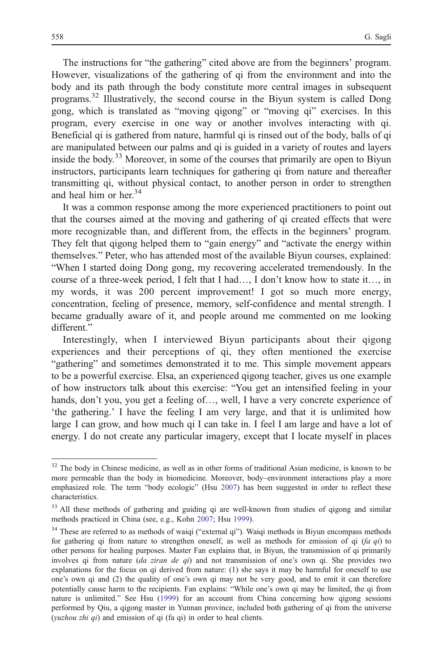The instructions for "the gathering" cited above are from the beginners' program. However, visualizations of the gathering of qi from the environment and into the body and its path through the body constitute more central images in subsequent programs.<sup>32</sup> Illustratively, the second course in the Biyun system is called Dong gong, which is translated as "moving qigong" or "moving qi" exercises. In this program, every exercise in one way or another involves interacting with qi. Beneficial qi is gathered from nature, harmful qi is rinsed out of the body, balls of qi are manipulated between our palms and qi is guided in a variety of routes and layers inside the body.<sup>33</sup> Moreover, in some of the courses that primarily are open to Biyun instructors, participants learn techniques for gathering qi from nature and thereafter transmitting qi, without physical contact, to another person in order to strengthen and heal him or her  $34$ 

It was a common response among the more experienced practitioners to point out that the courses aimed at the moving and gathering of qi created effects that were more recognizable than, and different from, the effects in the beginners' program. They felt that qigong helped them to "gain energy" and "activate the energy within themselves." Peter, who has attended most of the available Biyun courses, explained: "When I started doing Dong gong, my recovering accelerated tremendously. In the course of a three-week period, I felt that I had…, I don't know how to state it…, in my words, it was 200 percent improvement! I got so much more energy, concentration, feeling of presence, memory, self-confidence and mental strength. I became gradually aware of it, and people around me commented on me looking different."

Interestingly, when I interviewed Biyun participants about their qigong experiences and their perceptions of qi, they often mentioned the exercise "gathering" and sometimes demonstrated it to me. This simple movement appears to be a powerful exercise. Elsa, an experienced qigong teacher, gives us one example of how instructors talk about this exercise: "You get an intensified feeling in your hands, don't you, you get a feeling of..., well, I have a very concrete experience of 'the gathering.' I have the feeling I am very large, and that it is unlimited how large I can grow, and how much qi I can take in. I feel I am large and have a lot of energy. I do not create any particular imagery, except that I locate myself in places

<sup>&</sup>lt;sup>32</sup> The body in Chinese medicine, as well as in other forms of traditional Asian medicine, is known to be more permeable than the body in biomedicine. Moreover, body–environment interactions play a more emphasized role. The term "body ecologic" (Hsu [2007](#page-20-0)) has been suggested in order to reflect these characteristics.

<sup>&</sup>lt;sup>33</sup> All these methods of gathering and guiding qi are well-known from studies of qigong and similar methods practiced in China (see, e.g., Kohn [2007](#page-20-0); Hsu [1999](#page-20-0)).

<sup>&</sup>lt;sup>34</sup> These are referred to as methods of waiqi ("external qi"). Waiqi methods in Biyun encompass methods for gathering qi from nature to strengthen oneself, as well as methods for emission of qi (fa qi) to other persons for healing purposes. Master Fan explains that, in Biyun, the transmission of qi primarily involves qi from nature (da ziran de qi) and not transmission of one's own qi. She provides two explanations for the focus on qi derived from nature: (1) she says it may be harmful for oneself to use one's own qi and (2) the quality of one's own qi may not be very good, and to emit it can therefore potentially cause harm to the recipients. Fan explains: "While one's own qi may be limited, the qi from nature is unlimited." See Hsu ([1999\)](#page-20-0) for an account from China concerning how qigong sessions performed by Qiu, a qigong master in Yunnan province, included both gathering of qi from the universe (*yuzhou zhi qi*) and emission of qi (fa qi) in order to heal clients.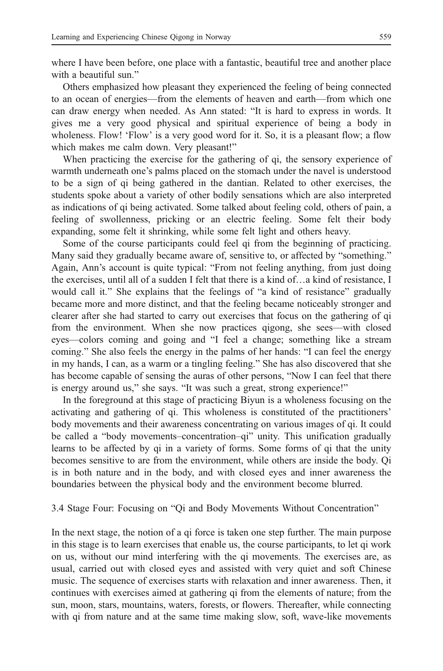where I have been before, one place with a fantastic, beautiful tree and another place with a beautiful sun."

Others emphasized how pleasant they experienced the feeling of being connected to an ocean of energies—from the elements of heaven and earth—from which one can draw energy when needed. As Ann stated: "It is hard to express in words. It gives me a very good physical and spiritual experience of being a body in wholeness. Flow! 'Flow' is a very good word for it. So, it is a pleasant flow; a flow which makes me calm down. Very pleasant!"

When practicing the exercise for the gathering of qi, the sensory experience of warmth underneath one's palms placed on the stomach under the navel is understood to be a sign of qi being gathered in the dantian. Related to other exercises, the students spoke about a variety of other bodily sensations which are also interpreted as indications of qi being activated. Some talked about feeling cold, others of pain, a feeling of swollenness, pricking or an electric feeling. Some felt their body expanding, some felt it shrinking, while some felt light and others heavy.

Some of the course participants could feel qi from the beginning of practicing. Many said they gradually became aware of, sensitive to, or affected by "something." Again, Ann's account is quite typical: "From not feeling anything, from just doing the exercises, until all of a sudden I felt that there is a kind of…a kind of resistance, I would call it." She explains that the feelings of "a kind of resistance" gradually became more and more distinct, and that the feeling became noticeably stronger and clearer after she had started to carry out exercises that focus on the gathering of qi from the environment. When she now practices qigong, she sees—with closed eyes—colors coming and going and "I feel a change; something like a stream coming." She also feels the energy in the palms of her hands: "I can feel the energy in my hands, I can, as a warm or a tingling feeling." She has also discovered that she has become capable of sensing the auras of other persons, "Now I can feel that there is energy around us," she says. "It was such a great, strong experience!"

In the foreground at this stage of practicing Biyun is a wholeness focusing on the activating and gathering of qi. This wholeness is constituted of the practitioners' body movements and their awareness concentrating on various images of qi. It could be called a "body movements–concentration–qi" unity. This unification gradually learns to be affected by qi in a variety of forms. Some forms of qi that the unity becomes sensitive to are from the environment, while others are inside the body. Qi is in both nature and in the body, and with closed eyes and inner awareness the boundaries between the physical body and the environment become blurred.

3.4 Stage Four: Focusing on "Qi and Body Movements Without Concentration"

In the next stage, the notion of a qi force is taken one step further. The main purpose in this stage is to learn exercises that enable us, the course participants, to let qi work on us, without our mind interfering with the qi movements. The exercises are, as usual, carried out with closed eyes and assisted with very quiet and soft Chinese music. The sequence of exercises starts with relaxation and inner awareness. Then, it continues with exercises aimed at gathering qi from the elements of nature; from the sun, moon, stars, mountains, waters, forests, or flowers. Thereafter, while connecting with qi from nature and at the same time making slow, soft, wave-like movements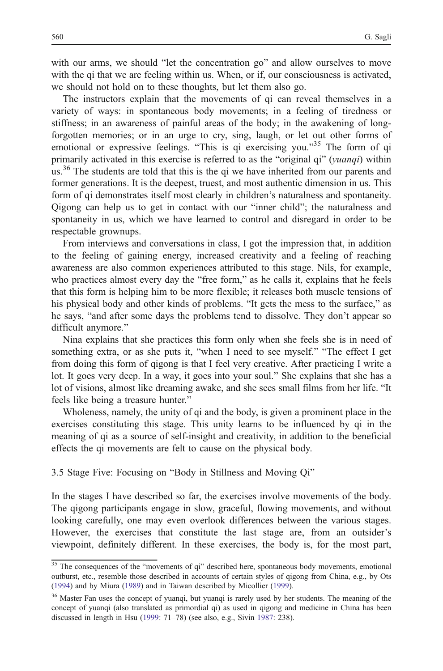with our arms, we should "let the concentration go" and allow ourselves to move with the qi that we are feeling within us. When, or if, our consciousness is activated, we should not hold on to these thoughts, but let them also go.

The instructors explain that the movements of qi can reveal themselves in a variety of ways: in spontaneous body movements; in a feeling of tiredness or stiffness; in an awareness of painful areas of the body; in the awakening of longforgotten memories; or in an urge to cry, sing, laugh, or let out other forms of emotional or expressive feelings. "This is qi exercising you."<sup>35</sup> The form of qi primarily activated in this exercise is referred to as the "original qi" (yuanqi) within us.<sup>36</sup> The students are told that this is the qi we have inherited from our parents and former generations. It is the deepest, truest, and most authentic dimension in us. This form of qi demonstrates itself most clearly in children's naturalness and spontaneity. Qigong can help us to get in contact with our "inner child"; the naturalness and spontaneity in us, which we have learned to control and disregard in order to be respectable grownups.

From interviews and conversations in class, I got the impression that, in addition to the feeling of gaining energy, increased creativity and a feeling of reaching awareness are also common experiences attributed to this stage. Nils, for example, who practices almost every day the "free form," as he calls it, explains that he feels that this form is helping him to be more flexible; it releases both muscle tensions of his physical body and other kinds of problems. "It gets the mess to the surface," as he says, "and after some days the problems tend to dissolve. They don't appear so difficult anymore."

Nina explains that she practices this form only when she feels she is in need of something extra, or as she puts it, "when I need to see myself." "The effect I get from doing this form of qigong is that I feel very creative. After practicing I write a lot. It goes very deep. In a way, it goes into your soul." She explains that she has a lot of visions, almost like dreaming awake, and she sees small films from her life. "It feels like being a treasure hunter."

Wholeness, namely, the unity of qi and the body, is given a prominent place in the exercises constituting this stage. This unity learns to be influenced by qi in the meaning of qi as a source of self-insight and creativity, in addition to the beneficial effects the qi movements are felt to cause on the physical body.

3.5 Stage Five: Focusing on "Body in Stillness and Moving Qi"

In the stages I have described so far, the exercises involve movements of the body. The qigong participants engage in slow, graceful, flowing movements, and without looking carefully, one may even overlook differences between the various stages. However, the exercises that constitute the last stage are, from an outsider's viewpoint, definitely different. In these exercises, the body is, for the most part,

<sup>&</sup>lt;sup>35</sup> The consequences of the "movements of qi" described here, spontaneous body movements, emotional outburst, etc., resemble those described in accounts of certain styles of qigong from China, e.g., by Ots ([1994\)](#page-21-0) and by Miura ([1989\)](#page-21-0) and in Taiwan described by Micollier [\(1999\)](#page-21-0).

<sup>&</sup>lt;sup>36</sup> Master Fan uses the concept of yuanqi, but yuanqi is rarely used by her students. The meaning of the concept of yuanqi (also translated as primordial qi) as used in qigong and medicine in China has been discussed in length in Hsu ([1999:](#page-20-0) 71–78) (see also, e.g., Sivin [1987](#page-21-0): 238).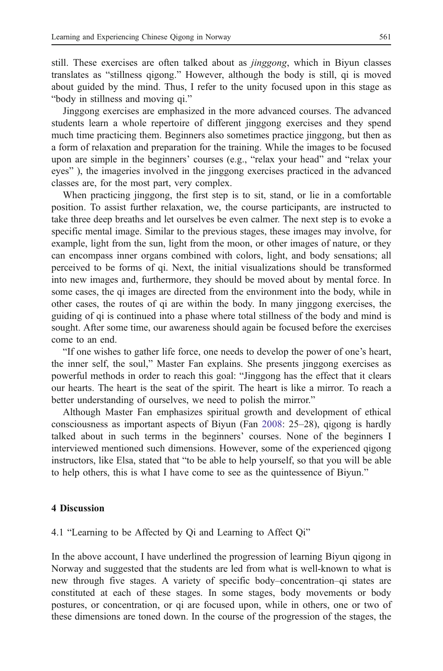still. These exercises are often talked about as *jinggong*, which in Biyun classes translates as "stillness qigong." However, although the body is still, qi is moved about guided by the mind. Thus, I refer to the unity focused upon in this stage as "body in stillness and moving qi."

Jinggong exercises are emphasized in the more advanced courses. The advanced students learn a whole repertoire of different jinggong exercises and they spend much time practicing them. Beginners also sometimes practice jinggong, but then as a form of relaxation and preparation for the training. While the images to be focused upon are simple in the beginners' courses (e.g., "relax your head" and "relax your eyes" ), the imageries involved in the jinggong exercises practiced in the advanced classes are, for the most part, very complex.

When practicing jinggong, the first step is to sit, stand, or lie in a comfortable position. To assist further relaxation, we, the course participants, are instructed to take three deep breaths and let ourselves be even calmer. The next step is to evoke a specific mental image. Similar to the previous stages, these images may involve, for example, light from the sun, light from the moon, or other images of nature, or they can encompass inner organs combined with colors, light, and body sensations; all perceived to be forms of qi. Next, the initial visualizations should be transformed into new images and, furthermore, they should be moved about by mental force. In some cases, the qi images are directed from the environment into the body, while in other cases, the routes of qi are within the body. In many jinggong exercises, the guiding of qi is continued into a phase where total stillness of the body and mind is sought. After some time, our awareness should again be focused before the exercises come to an end.

"If one wishes to gather life force, one needs to develop the power of one's heart, the inner self, the soul," Master Fan explains. She presents jinggong exercises as powerful methods in order to reach this goal: "Jinggong has the effect that it clears our hearts. The heart is the seat of the spirit. The heart is like a mirror. To reach a better understanding of ourselves, we need to polish the mirror."

Although Master Fan emphasizes spiritual growth and development of ethical consciousness as important aspects of Biyun (Fan [2008](#page-20-0): 25–28), qigong is hardly talked about in such terms in the beginners' courses. None of the beginners I interviewed mentioned such dimensions. However, some of the experienced qigong instructors, like Elsa, stated that "to be able to help yourself, so that you will be able to help others, this is what I have come to see as the quintessence of Biyun."

# 4 Discussion

# 4.1 "Learning to be Affected by Qi and Learning to Affect Qi"

In the above account, I have underlined the progression of learning Biyun qigong in Norway and suggested that the students are led from what is well-known to what is new through five stages. A variety of specific body–concentration–qi states are constituted at each of these stages. In some stages, body movements or body postures, or concentration, or qi are focused upon, while in others, one or two of these dimensions are toned down. In the course of the progression of the stages, the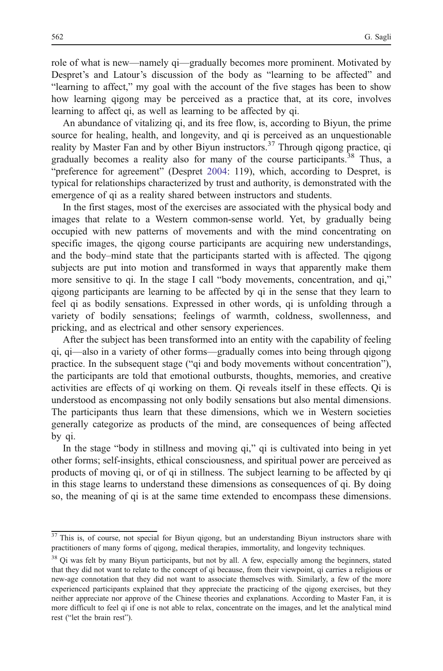role of what is new—namely qi—gradually becomes more prominent. Motivated by Despret's and Latour's discussion of the body as "learning to be affected" and "learning to affect," my goal with the account of the five stages has been to show how learning qigong may be perceived as a practice that, at its core, involves learning to affect qi, as well as learning to be affected by qi.

An abundance of vitalizing qi, and its free flow, is, according to Biyun, the prime source for healing, health, and longevity, and qi is perceived as an unquestionable reality by Master Fan and by other Biyun instructors.<sup>37</sup> Through qigong practice, qi gradually becomes a reality also for many of the course participants.<sup>38</sup> Thus, a "preference for agreement" (Despret [2004](#page-20-0): 119), which, according to Despret, is typical for relationships characterized by trust and authority, is demonstrated with the emergence of qi as a reality shared between instructors and students.

In the first stages, most of the exercises are associated with the physical body and images that relate to a Western common-sense world. Yet, by gradually being occupied with new patterns of movements and with the mind concentrating on specific images, the qigong course participants are acquiring new understandings, and the body–mind state that the participants started with is affected. The qigong subjects are put into motion and transformed in ways that apparently make them more sensitive to qi. In the stage I call "body movements, concentration, and qi," qigong participants are learning to be affected by qi in the sense that they learn to feel qi as bodily sensations. Expressed in other words, qi is unfolding through a variety of bodily sensations; feelings of warmth, coldness, swollenness, and pricking, and as electrical and other sensory experiences.

After the subject has been transformed into an entity with the capability of feeling qi, qi—also in a variety of other forms—gradually comes into being through qigong practice. In the subsequent stage ("qi and body movements without concentration"), the participants are told that emotional outbursts, thoughts, memories, and creative activities are effects of qi working on them. Qi reveals itself in these effects. Qi is understood as encompassing not only bodily sensations but also mental dimensions. The participants thus learn that these dimensions, which we in Western societies generally categorize as products of the mind, are consequences of being affected by qi.

In the stage "body in stillness and moving qi," qi is cultivated into being in yet other forms; self-insights, ethical consciousness, and spiritual power are perceived as products of moving qi, or of qi in stillness. The subject learning to be affected by qi in this stage learns to understand these dimensions as consequences of qi. By doing so, the meaning of qi is at the same time extended to encompass these dimensions.

<sup>&</sup>lt;sup>37</sup> This is, of course, not special for Biyun qigong, but an understanding Biyun instructors share with practitioners of many forms of qigong, medical therapies, immortality, and longevity techniques.

<sup>&</sup>lt;sup>38</sup> Qi was felt by many Biyun participants, but not by all. A few, especially among the beginners, stated that they did not want to relate to the concept of qi because, from their viewpoint, qi carries a religious or new-age connotation that they did not want to associate themselves with. Similarly, a few of the more experienced participants explained that they appreciate the practicing of the qigong exercises, but they neither appreciate nor approve of the Chinese theories and explanations. According to Master Fan, it is more difficult to feel qi if one is not able to relax, concentrate on the images, and let the analytical mind rest ("let the brain rest").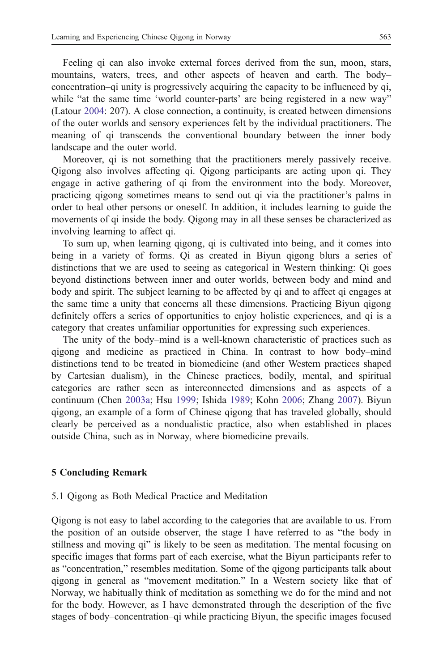Feeling qi can also invoke external forces derived from the sun, moon, stars, mountains, waters, trees, and other aspects of heaven and earth. The body– concentration–qi unity is progressively acquiring the capacity to be influenced by qi, while "at the same time 'world counter-parts' are being registered in a new way" (Latour [2004](#page-20-0): 207). A close connection, a continuity, is created between dimensions of the outer worlds and sensory experiences felt by the individual practitioners. The meaning of qi transcends the conventional boundary between the inner body landscape and the outer world.

Moreover, qi is not something that the practitioners merely passively receive. Qigong also involves affecting qi. Qigong participants are acting upon qi. They engage in active gathering of qi from the environment into the body. Moreover, practicing qigong sometimes means to send out qi via the practitioner's palms in order to heal other persons or oneself. In addition, it includes learning to guide the movements of qi inside the body. Qigong may in all these senses be characterized as involving learning to affect qi.

To sum up, when learning qigong, qi is cultivated into being, and it comes into being in a variety of forms. Qi as created in Biyun qigong blurs a series of distinctions that we are used to seeing as categorical in Western thinking: Qi goes beyond distinctions between inner and outer worlds, between body and mind and body and spirit. The subject learning to be affected by qi and to affect qi engages at the same time a unity that concerns all these dimensions. Practicing Biyun qigong definitely offers a series of opportunities to enjoy holistic experiences, and qi is a category that creates unfamiliar opportunities for expressing such experiences.

The unity of the body–mind is a well-known characteristic of practices such as qigong and medicine as practiced in China. In contrast to how body–mind distinctions tend to be treated in biomedicine (and other Western practices shaped by Cartesian dualism), in the Chinese practices, bodily, mental, and spiritual categories are rather seen as interconnected dimensions and as aspects of a continuum (Chen [2003a;](#page-19-0) Hsu [1999;](#page-20-0) Ishida [1989](#page-20-0); Kohn [2006;](#page-20-0) Zhang [2007\)](#page-21-0). Biyun qigong, an example of a form of Chinese qigong that has traveled globally, should clearly be perceived as a nondualistic practice, also when established in places outside China, such as in Norway, where biomedicine prevails.

#### 5 Concluding Remark

#### 5.1 Qigong as Both Medical Practice and Meditation

Qigong is not easy to label according to the categories that are available to us. From the position of an outside observer, the stage I have referred to as "the body in stillness and moving qi" is likely to be seen as meditation. The mental focusing on specific images that forms part of each exercise, what the Biyun participants refer to as "concentration," resembles meditation. Some of the qigong participants talk about qigong in general as "movement meditation." In a Western society like that of Norway, we habitually think of meditation as something we do for the mind and not for the body. However, as I have demonstrated through the description of the five stages of body–concentration–qi while practicing Biyun, the specific images focused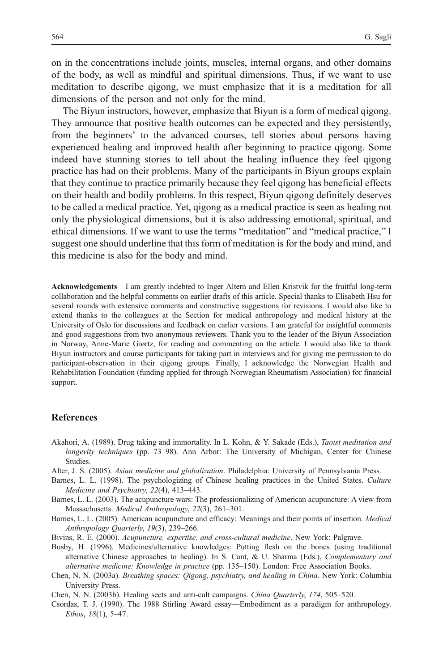<span id="page-19-0"></span>on in the concentrations include joints, muscles, internal organs, and other domains of the body, as well as mindful and spiritual dimensions. Thus, if we want to use meditation to describe qigong, we must emphasize that it is a meditation for all dimensions of the person and not only for the mind.

The Biyun instructors, however, emphasize that Biyun is a form of medical qigong. They announce that positive health outcomes can be expected and they persistently, from the beginners' to the advanced courses, tell stories about persons having experienced healing and improved health after beginning to practice qigong. Some indeed have stunning stories to tell about the healing influence they feel qigong practice has had on their problems. Many of the participants in Biyun groups explain that they continue to practice primarily because they feel qigong has beneficial effects on their health and bodily problems. In this respect, Biyun qigong definitely deserves to be called a medical practice. Yet, qigong as a medical practice is seen as healing not only the physiological dimensions, but it is also addressing emotional, spiritual, and ethical dimensions. If we want to use the terms "meditation" and "medical practice," I suggest one should underline that this form of meditation is for the body and mind, and this medicine is also for the body and mind.

Acknowledgements I am greatly indebted to Inger Altern and Ellen Kristvik for the fruitful long-term collaboration and the helpful comments on earlier drafts of this article. Special thanks to Elisabeth Hsu for several rounds with extensive comments and constructive suggestions for revisions. I would also like to extend thanks to the colleagues at the Section for medical anthropology and medical history at the University of Oslo for discussions and feedback on earlier versions. I am grateful for insightful comments and good suggestions from two anonymous reviewers. Thank you to the leader of the Biyun Association in Norway, Anne-Marie Giørtz, for reading and commenting on the article. I would also like to thank Biyun instructors and course participants for taking part in interviews and for giving me permission to do participant-observation in their qigong groups. Finally, I acknowledge the Norwegian Health and Rehabilitation Foundation (funding applied for through Norwegian Rheumatism Association) for financial support.

## References

- Akahori, A. (1989). Drug taking and immortality. In L. Kohn, & Y. Sakade (Eds.), Taoist meditation and longevity techniques (pp. 73–98). Ann Arbor: The University of Michigan, Center for Chinese Studies.
- Alter, J. S. (2005). Asian medicine and globalization. Philadelphia: University of Pennsylvania Press.
- Barnes, L. L. (1998). The psychologizing of Chinese healing practices in the United States. Culture Medicine and Psychiatry, 22(4), 413–443.
- Barnes, L. L. (2003). The acupuncture wars: The professionalizing of American acupuncture: A view from Massachusetts. Medical Anthropology, 22(3), 261–301.
- Barnes, L. L. (2005). American acupuncture and efficacy: Meanings and their points of insertion. Medical Anthropology Quarterly, 19(3), 239–266.
- Bivins, R. E. (2000). Acupuncture, expertise, and cross-cultural medicine. New York: Palgrave.
- Busby, H. (1996). Medicines/alternative knowledges: Putting flesh on the bones (using traditional alternative Chinese approaches to healing). In S. Cant, & U. Sharma (Eds.), Complementary and alternative medicine: Knowledge in practice (pp. 135–150). London: Free Association Books.
- Chen, N. N. (2003a). Breathing spaces: Qigong, psychiatry, and healing in China. New York: Columbia University Press.
- Chen, N. N. (2003b). Healing sects and anti-cult campaigns. China Quarterly, 174, 505–520.
- Csordas, T. J. (1990). The 1988 Stirling Award essay—Embodiment as a paradigm for anthropology. Ethos,  $18(1)$ , 5–47.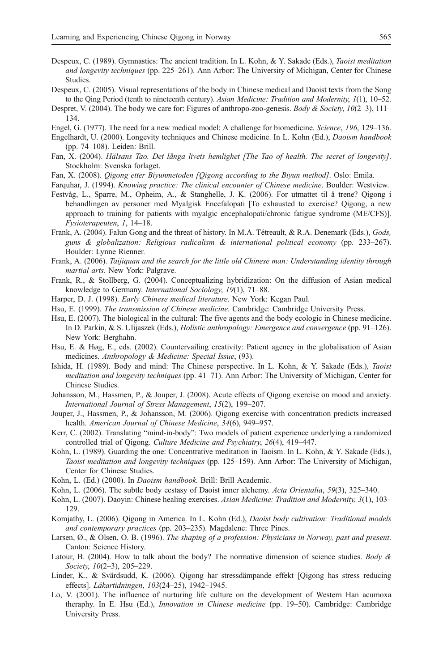Fysioterapeuten, 1, 14–18.

- <span id="page-20-0"></span>Despeux, C. (1989). Gymnastics: The ancient tradition. In L. Kohn, & Y. Sakade (Eds.), Taoist meditation and longevity techniques (pp. 225–261). Ann Arbor: The University of Michigan, Center for Chinese Studies.
- Despeux, C. (2005). Visual representations of the body in Chinese medical and Daoist texts from the Song to the Qing Period (tenth to nineteenth century). Asian Medicine: Tradition and Modernity, 1(1), 10–52.
- Despret, V. (2004). The body we care for: Figures of anthropo-zoo-genesis. Body & Society,  $10(2-3)$ ,  $111-$ 134.

Engel, G. (1977). The need for a new medical model: A challenge for biomedicine. Science, 196, 129–136.

- Engelhardt, U. (2000). Longevity techniques and Chinese medicine. In L. Kohn (Ed.), Daoism handbook (pp. 74–108). Leiden: Brill.
- Fan, X. (2004). Hälsans Tao. Det långa livets hemlighet [The Tao of health. The secret of longevity]. Stockholm: Svenska forlaget.
- Fan, X. (2008). Qigong etter Biyunmetoden [Qigong according to the Biyun method]. Oslo: Emila.
- Farquhar, J. (1994). Knowing practice: The clinical encounter of Chinese medicine. Boulder: Westview. Festvåg, L., Sparre, M., Opheim, A., & Stanghelle, J. K. (2006). For utmattet til å trene? Qigong i behandlingen av personer med Myalgisk Encefalopati [To exhausted to exercise? Qigong, a new approach to training for patients with myalgic encephalopati/chronic fatigue syndrome (ME/CFS)].
- Frank, A. (2004). Falun Gong and the threat of history. In M.A. Tétreault, & R.A. Denemark (Eds.), Gods, guns & globalization: Religious radicalism & international political economy (pp. 233–267). Boulder: Lynne Rienner.
- Frank, A. (2006). Taijiquan and the search for the little old Chinese man: Understanding identity through martial arts. New York: Palgrave.
- Frank, R., & Stollberg, G. (2004). Conceptualizing hybridization: On the diffusion of Asian medical knowledge to Germany. International Sociology, 19(1), 71–88.
- Harper, D. J. (1998). *Early Chinese medical literature*. New York: Kegan Paul.
- Hsu, E. (1999). The transmission of Chinese medicine. Cambridge: Cambridge University Press.
- Hsu, E. (2007). The biological in the cultural: The five agents and the body ecologic in Chinese medicine. In D. Parkin, & S. Ulijaszek (Eds.), Holistic anthropology: Emergence and convergence (pp. 91–126). New York: Berghahn.
- Hsu, E. & Høg, E., eds. (2002). Countervailing creativity: Patient agency in the globalisation of Asian medicines. Anthropology & Medicine: Special Issue, (93).
- Ishida, H. (1989). Body and mind: The Chinese perspective. In L. Kohn, & Y. Sakade (Eds.), Taoist meditation and longevity techniques (pp. 41–71). Ann Arbor: The University of Michigan, Center for Chinese Studies.
- Johansson, M., Hassmen, P., & Jouper, J. (2008). Acute effects of Qigong exercise on mood and anxiety. International Journal of Stress Management, 15(2), 199–207.
- Jouper, J., Hassmen, P., & Johansson, M. (2006). Qigong exercise with concentration predicts increased health. American Journal of Chinese Medicine, 34(6), 949–957.
- Kerr, C. (2002). Translating "mind-in-body": Two models of patient experience underlying a randomized controlled trial of Qigong. Culture Medicine and Psychiatry, 26(4), 419–447.
- Kohn, L. (1989). Guarding the one: Concentrative meditation in Taoism. In L. Kohn, & Y. Sakade (Eds.), Taoist meditation and longevity techniques (pp. 125–159). Ann Arbor: The University of Michigan, Center for Chinese Studies.
- Kohn, L. (Ed.) (2000). In Daoism handbook. Brill: Brill Academic.
- Kohn, L. (2006). The subtle body ecstasy of Daoist inner alchemy. Acta Orientalia, 59(3), 325–340.
- Kohn, L. (2007). Daoyin: Chinese healing exercises. Asian Medicine: Tradition and Modernity, 3(1), 103– 129.
- Komjathy, L. (2006). Qigong in America. In L. Kohn (Ed.), Daoist body cultivation: Traditional models and contemporary practices (pp. 203–235). Magdalene: Three Pines.
- Larsen, Ø., & Olsen, O. B. (1996). The shaping of a profession: Physicians in Norway, past and present. Canton: Science History.
- Latour, B. (2004). How to talk about the body? The normative dimension of science studies. Body  $\&$ Society, 10(2-3), 205-229.
- Linder, K., & Svärdsudd, K. (2006). Qigong har stressdämpande effekt [Qigong has stress reducing effects]. Läkartidningen, 103(24–25), 1942–1945.
- Lo, V. (2001). The influence of nurturing life culture on the development of Western Han acumoxa theraphy. In E. Hsu (Ed.), Innovation in Chinese medicine (pp. 19–50). Cambridge: Cambridge University Press.